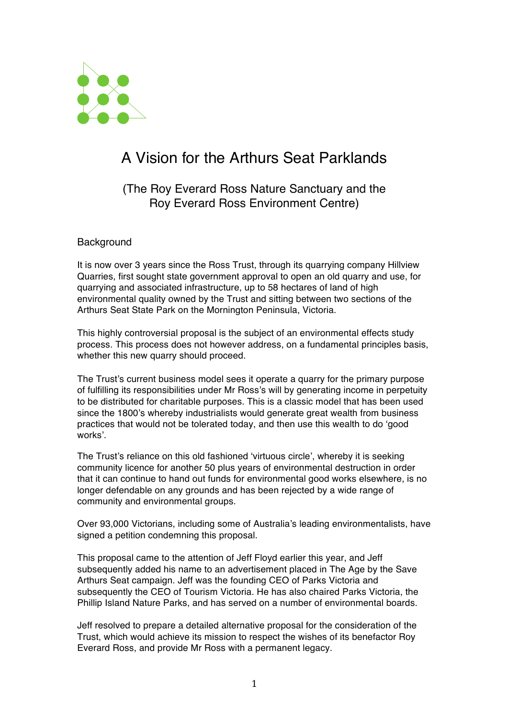

# A Vision for the Arthurs Seat Parklands

(The Roy Everard Ross Nature Sanctuary and the Roy Everard Ross Environment Centre)

## **Background**

It is now over 3 years since the Ross Trust, through its quarrying company Hillview Quarries, first sought state government approval to open an old quarry and use, for quarrying and associated infrastructure, up to 58 hectares of land of high environmental quality owned by the Trust and sitting between two sections of the Arthurs Seat State Park on the Mornington Peninsula, Victoria.

This highly controversial proposal is the subject of an environmental effects study process. This process does not however address, on a fundamental principles basis, whether this new quarry should proceed.

The Trust's current business model sees it operate a quarry for the primary purpose of fulfilling its responsibilities under Mr Ross's will by generating income in perpetuity to be distributed for charitable purposes. This is a classic model that has been used since the 1800's whereby industrialists would generate great wealth from business practices that would not be tolerated today, and then use this wealth to do 'good works'.

The Trust's reliance on this old fashioned 'virtuous circle', whereby it is seeking community licence for another 50 plus years of environmental destruction in order that it can continue to hand out funds for environmental good works elsewhere, is no longer defendable on any grounds and has been rejected by a wide range of community and environmental groups.

Over 93,000 Victorians, including some of Australia's leading environmentalists, have signed a petition condemning this proposal.

This proposal came to the attention of Jeff Floyd earlier this year, and Jeff subsequently added his name to an advertisement placed in The Age by the Save Arthurs Seat campaign. Jeff was the founding CEO of Parks Victoria and subsequently the CEO of Tourism Victoria. He has also chaired Parks Victoria, the Phillip Island Nature Parks, and has served on a number of environmental boards.

Jeff resolved to prepare a detailed alternative proposal for the consideration of the Trust, which would achieve its mission to respect the wishes of its benefactor Roy Everard Ross, and provide Mr Ross with a permanent legacy.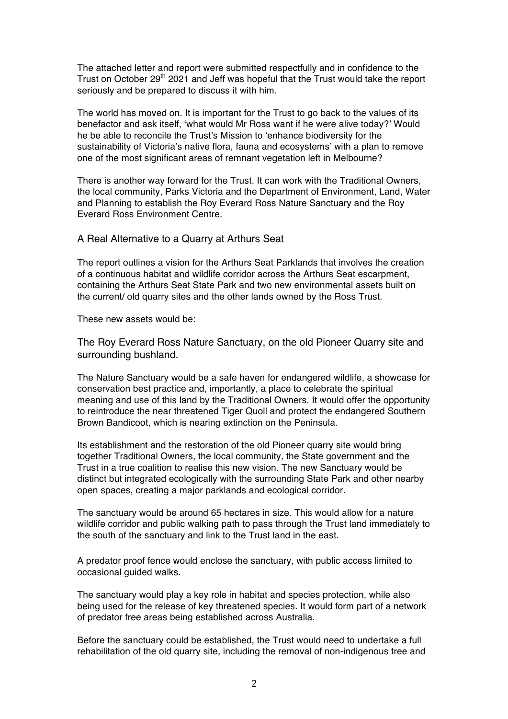The attached letter and report were submitted respectfully and in confidence to the Trust on October 29<sup>th</sup> 2021 and Jeff was hopeful that the Trust would take the report seriously and be prepared to discuss it with him.

The world has moved on. It is important for the Trust to go back to the values of its benefactor and ask itself, 'what would Mr Ross want if he were alive today?' Would he be able to reconcile the Trust's Mission to 'enhance biodiversity for the sustainability of Victoria's native flora, fauna and ecosystems' with a plan to remove one of the most significant areas of remnant vegetation left in Melbourne?

There is another way forward for the Trust. It can work with the Traditional Owners, the local community, Parks Victoria and the Department of Environment, Land, Water and Planning to establish the Roy Everard Ross Nature Sanctuary and the Roy Everard Ross Environment Centre.

#### A Real Alternative to a Quarry at Arthurs Seat

The report outlines a vision for the Arthurs Seat Parklands that involves the creation of a continuous habitat and wildlife corridor across the Arthurs Seat escarpment, containing the Arthurs Seat State Park and two new environmental assets built on the current/ old quarry sites and the other lands owned by the Ross Trust.

These new assets would be:

The Roy Everard Ross Nature Sanctuary, on the old Pioneer Quarry site and surrounding bushland.

The Nature Sanctuary would be a safe haven for endangered wildlife, a showcase for conservation best practice and, importantly, a place to celebrate the spiritual meaning and use of this land by the Traditional Owners. It would offer the opportunity to reintroduce the near threatened Tiger Quoll and protect the endangered Southern Brown Bandicoot, which is nearing extinction on the Peninsula.

Its establishment and the restoration of the old Pioneer quarry site would bring together Traditional Owners, the local community, the State government and the Trust in a true coalition to realise this new vision. The new Sanctuary would be distinct but integrated ecologically with the surrounding State Park and other nearby open spaces, creating a major parklands and ecological corridor.

The sanctuary would be around 65 hectares in size. This would allow for a nature wildlife corridor and public walking path to pass through the Trust land immediately to the south of the sanctuary and link to the Trust land in the east.

A predator proof fence would enclose the sanctuary, with public access limited to occasional guided walks.

The sanctuary would play a key role in habitat and species protection, while also being used for the release of key threatened species. It would form part of a network of predator free areas being established across Australia.

Before the sanctuary could be established, the Trust would need to undertake a full rehabilitation of the old quarry site, including the removal of non-indigenous tree and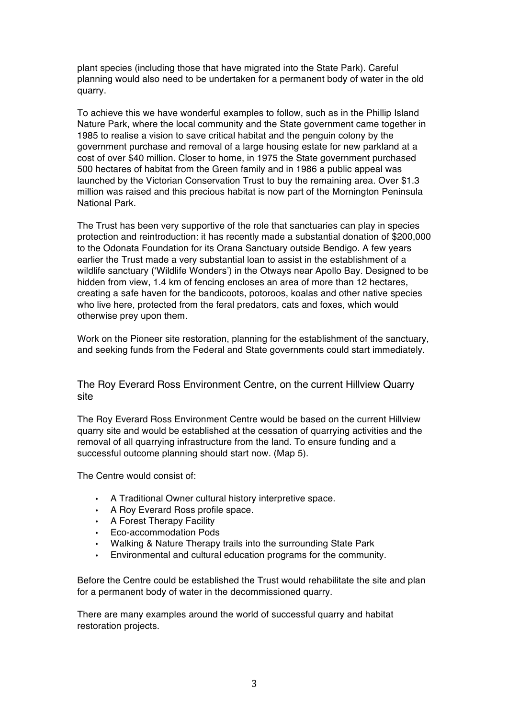plant species (including those that have migrated into the State Park). Careful planning would also need to be undertaken for a permanent body of water in the old quarry.

To achieve this we have wonderful examples to follow, such as in the Phillip Island Nature Park, where the local community and the State government came together in 1985 to realise a vision to save critical habitat and the penguin colony by the government purchase and removal of a large housing estate for new parkland at a cost of over \$40 million. Closer to home, in 1975 the State government purchased 500 hectares of habitat from the Green family and in 1986 a public appeal was launched by the Victorian Conservation Trust to buy the remaining area. Over \$1.3 million was raised and this precious habitat is now part of the Mornington Peninsula National Park.

The Trust has been very supportive of the role that sanctuaries can play in species protection and reintroduction: it has recently made a substantial donation of \$200,000 to the Odonata Foundation for its Orana Sanctuary outside Bendigo. A few years earlier the Trust made a very substantial loan to assist in the establishment of a wildlife sanctuary ('Wildlife Wonders') in the Otways near Apollo Bay. Designed to be hidden from view, 1.4 km of fencing encloses an area of more than 12 hectares, creating a safe haven for the bandicoots, potoroos, koalas and other native species who live here, protected from the feral predators, cats and foxes, which would otherwise prey upon them.

Work on the Pioneer site restoration, planning for the establishment of the sanctuary, and seeking funds from the Federal and State governments could start immediately.

The Roy Everard Ross Environment Centre, on the current Hillview Quarry site

The Roy Everard Ross Environment Centre would be based on the current Hillview quarry site and would be established at the cessation of quarrying activities and the removal of all quarrying infrastructure from the land. To ensure funding and a successful outcome planning should start now. (Map 5).

The Centre would consist of:

- A Traditional Owner cultural history interpretive space.
- A Roy Everard Ross profile space.
- A Forest Therapy Facility
- Eco-accommodation Pods
- Walking & Nature Therapy trails into the surrounding State Park
- Environmental and cultural education programs for the community.

Before the Centre could be established the Trust would rehabilitate the site and plan for a permanent body of water in the decommissioned quarry.

There are many examples around the world of successful quarry and habitat restoration projects.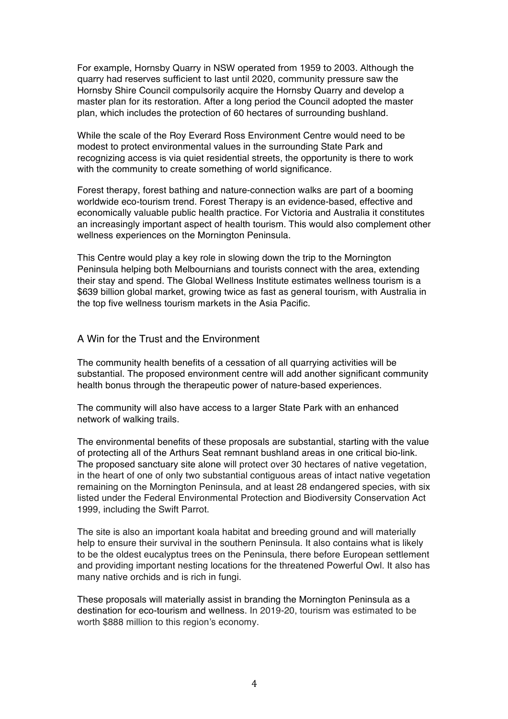For example, Hornsby Quarry in NSW operated from 1959 to 2003. Although the quarry had reserves sufficient to last until 2020, community pressure saw the Hornsby Shire Council compulsorily acquire the Hornsby Quarry and develop a master plan for its restoration. After a long period the Council adopted the master plan, which includes the protection of 60 hectares of surrounding bushland.

While the scale of the Roy Everard Ross Environment Centre would need to be modest to protect environmental values in the surrounding State Park and recognizing access is via quiet residential streets, the opportunity is there to work with the community to create something of world significance.

Forest therapy, forest bathing and nature-connection walks are part of a booming worldwide eco-tourism trend. Forest Therapy is an evidence-based, effective and economically valuable public health practice. For Victoria and Australia it constitutes an increasingly important aspect of health tourism. This would also complement other wellness experiences on the Mornington Peninsula.

This Centre would play a key role in slowing down the trip to the Mornington Peninsula helping both Melbournians and tourists connect with the area, extending their stay and spend. The Global Wellness Institute estimates wellness tourism is a \$639 billion global market, growing twice as fast as general tourism, with Australia in the top five wellness tourism markets in the Asia Pacific.

#### A Win for the Trust and the Environment

The community health benefits of a cessation of all quarrying activities will be substantial. The proposed environment centre will add another significant community health bonus through the therapeutic power of nature-based experiences.

The community will also have access to a larger State Park with an enhanced network of walking trails.

The environmental benefits of these proposals are substantial, starting with the value of protecting all of the Arthurs Seat remnant bushland areas in one critical bio-link. The proposed sanctuary site alone will protect over 30 hectares of native vegetation, in the heart of one of only two substantial contiguous areas of intact native vegetation remaining on the Mornington Peninsula, and at least 28 endangered species, with six listed under the Federal Environmental Protection and Biodiversity Conservation Act 1999, including the Swift Parrot.

The site is also an important koala habitat and breeding ground and will materially help to ensure their survival in the southern Peninsula. It also contains what is likely to be the oldest eucalyptus trees on the Peninsula, there before European settlement and providing important nesting locations for the threatened Powerful Owl. It also has many native orchids and is rich in fungi.

These proposals will materially assist in branding the Mornington Peninsula as a destination for eco-tourism and wellness. In 2019-20, tourism was estimated to be worth \$888 million to this region's economy.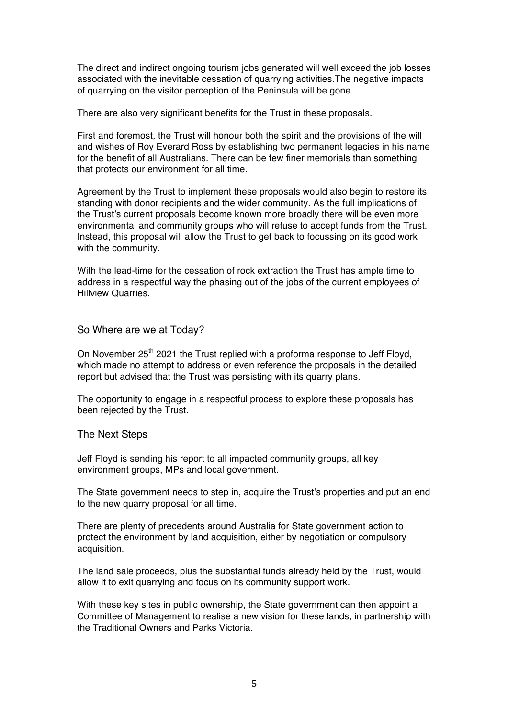The direct and indirect ongoing tourism jobs generated will well exceed the job losses associated with the inevitable cessation of quarrying activities.The negative impacts of quarrying on the visitor perception of the Peninsula will be gone.

There are also very significant benefits for the Trust in these proposals.

First and foremost, the Trust will honour both the spirit and the provisions of the will and wishes of Roy Everard Ross by establishing two permanent legacies in his name for the benefit of all Australians. There can be few finer memorials than something that protects our environment for all time.

Agreement by the Trust to implement these proposals would also begin to restore its standing with donor recipients and the wider community. As the full implications of the Trust's current proposals become known more broadly there will be even more environmental and community groups who will refuse to accept funds from the Trust. Instead, this proposal will allow the Trust to get back to focussing on its good work with the community.

With the lead-time for the cessation of rock extraction the Trust has ample time to address in a respectful way the phasing out of the jobs of the current employees of Hillview Quarries.

So Where are we at Today?

On November 25<sup>th</sup> 2021 the Trust replied with a proforma response to Jeff Floyd, which made no attempt to address or even reference the proposals in the detailed report but advised that the Trust was persisting with its quarry plans.

The opportunity to engage in a respectful process to explore these proposals has been rejected by the Trust.

### The Next Steps

Jeff Floyd is sending his report to all impacted community groups, all key environment groups, MPs and local government.

The State government needs to step in, acquire the Trust's properties and put an end to the new quarry proposal for all time.

There are plenty of precedents around Australia for State government action to protect the environment by land acquisition, either by negotiation or compulsory acquisition.

The land sale proceeds, plus the substantial funds already held by the Trust, would allow it to exit quarrying and focus on its community support work.

With these key sites in public ownership, the State government can then appoint a Committee of Management to realise a new vision for these lands, in partnership with the Traditional Owners and Parks Victoria.